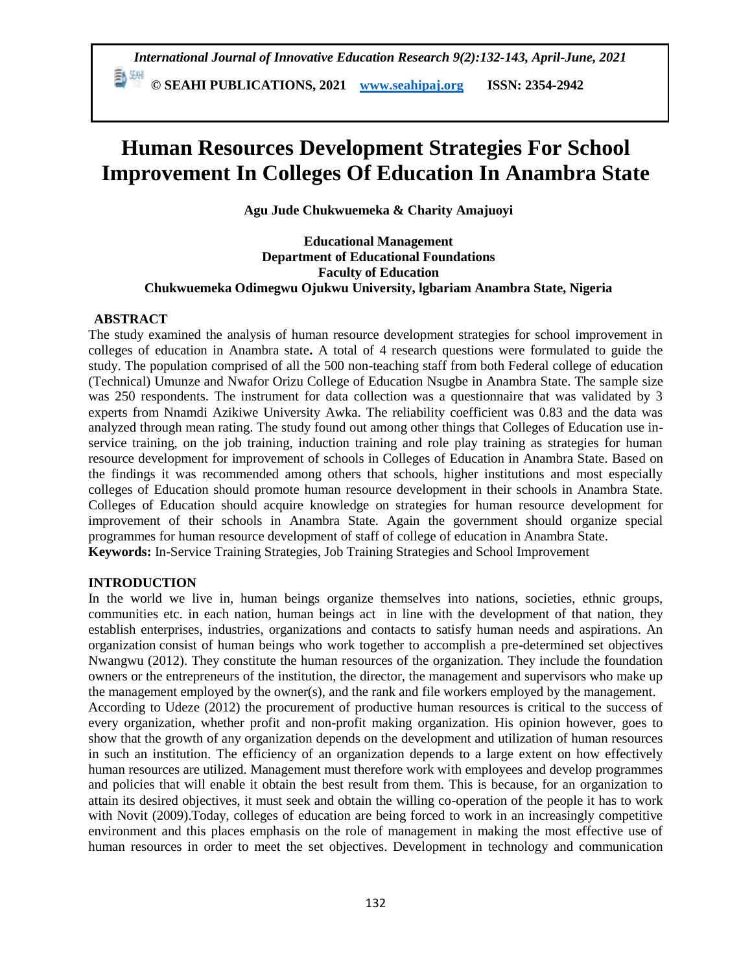*International Journal of Innovative Education Research 9(2):132-143, April-June, 2021*  **© SEAHI PUBLICATIONS, 2021 [www.seahipaj.org](http://www.seahipaj.org/) ISSN: 2354-2942**

# **Human Resources Development Strategies For School Improvement In Colleges Of Education In Anambra State**

**Agu Jude Chukwuemeka & Charity Amajuoyi**

**Educational Management Department of Educational Foundations Faculty of Education Chukwuemeka Odimegwu Ojukwu University, lgbariam Anambra State, Nigeria**

# **ABSTRACT**

The study examined the analysis of human resource development strategies for school improvement in colleges of education in Anambra state**.** A total of 4 research questions were formulated to guide the study. The population comprised of all the 500 non-teaching staff from both Federal college of education (Technical) Umunze and Nwafor Orizu College of Education Nsugbe in Anambra State. The sample size was 250 respondents. The instrument for data collection was a questionnaire that was validated by 3 experts from Nnamdi Azikiwe University Awka. The reliability coefficient was 0.83 and the data was analyzed through mean rating. The study found out among other things that Colleges of Education use inservice training, on the job training, induction training and role play training as strategies for human resource development for improvement of schools in Colleges of Education in Anambra State. Based on the findings it was recommended among others that schools, higher institutions and most especially colleges of Education should promote human resource development in their schools in Anambra State. Colleges of Education should acquire knowledge on strategies for human resource development for improvement of their schools in Anambra State. Again the government should organize special programmes for human resource development of staff of college of education in Anambra State. **Keywords:** In-Service Training Strategies, Job Training Strategies and School Improvement

# **INTRODUCTION**

In the world we live in, human beings organize themselves into nations, societies, ethnic groups, communities etc. in each nation, human beings act in line with the development of that nation, they establish enterprises, industries, organizations and contacts to satisfy human needs and aspirations. An organization consist of human beings who work together to accomplish a pre-determined set objectives Nwangwu (2012). They constitute the human resources of the organization. They include the foundation owners or the entrepreneurs of the institution, the director, the management and supervisors who make up the management employed by the owner(s), and the rank and file workers employed by the management. According to Udeze (2012) the procurement of productive human resources is critical to the success of every organization, whether profit and non-profit making organization. His opinion however, goes to show that the growth of any organization depends on the development and utilization of human resources in such an institution. The efficiency of an organization depends to a large extent on how effectively human resources are utilized. Management must therefore work with employees and develop programmes and policies that will enable it obtain the best result from them. This is because, for an organization to attain its desired objectives, it must seek and obtain the willing co-operation of the people it has to work with Novit (2009).Today, colleges of education are being forced to work in an increasingly competitive environment and this places emphasis on the role of management in making the most effective use of human resources in order to meet the set objectives. Development in technology and communication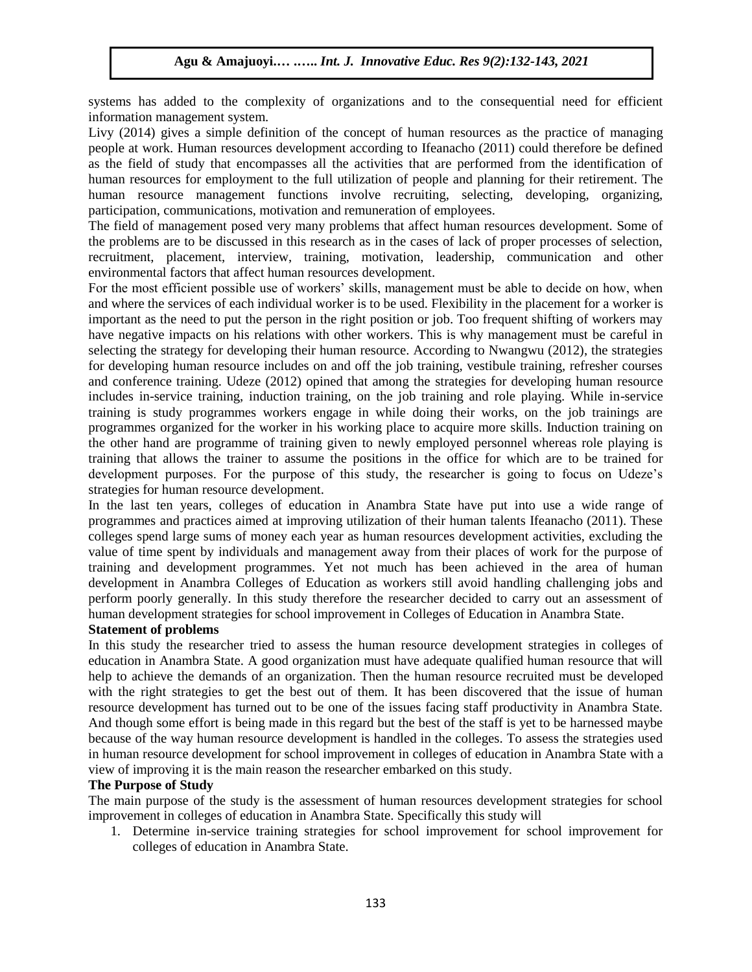systems has added to the complexity of organizations and to the consequential need for efficient information management system.

Livy (2014) gives a simple definition of the concept of human resources as the practice of managing people at work. Human resources development according to Ifeanacho (2011) could therefore be defined as the field of study that encompasses all the activities that are performed from the identification of human resources for employment to the full utilization of people and planning for their retirement. The human resource management functions involve recruiting, selecting, developing, organizing, participation, communications, motivation and remuneration of employees.

The field of management posed very many problems that affect human resources development. Some of the problems are to be discussed in this research as in the cases of lack of proper processes of selection, recruitment, placement, interview, training, motivation, leadership, communication and other environmental factors that affect human resources development.

For the most efficient possible use of workers' skills, management must be able to decide on how, when and where the services of each individual worker is to be used. Flexibility in the placement for a worker is important as the need to put the person in the right position or job. Too frequent shifting of workers may have negative impacts on his relations with other workers. This is why management must be careful in selecting the strategy for developing their human resource. According to Nwangwu (2012), the strategies for developing human resource includes on and off the job training, vestibule training, refresher courses and conference training. Udeze (2012) opined that among the strategies for developing human resource includes in-service training, induction training, on the job training and role playing. While in-service training is study programmes workers engage in while doing their works, on the job trainings are programmes organized for the worker in his working place to acquire more skills. Induction training on the other hand are programme of training given to newly employed personnel whereas role playing is training that allows the trainer to assume the positions in the office for which are to be trained for development purposes. For the purpose of this study, the researcher is going to focus on Udeze's strategies for human resource development.

In the last ten years, colleges of education in Anambra State have put into use a wide range of programmes and practices aimed at improving utilization of their human talents Ifeanacho (2011). These colleges spend large sums of money each year as human resources development activities, excluding the value of time spent by individuals and management away from their places of work for the purpose of training and development programmes. Yet not much has been achieved in the area of human development in Anambra Colleges of Education as workers still avoid handling challenging jobs and perform poorly generally. In this study therefore the researcher decided to carry out an assessment of human development strategies for school improvement in Colleges of Education in Anambra State.

## **Statement of problems**

In this study the researcher tried to assess the human resource development strategies in colleges of education in Anambra State. A good organization must have adequate qualified human resource that will help to achieve the demands of an organization. Then the human resource recruited must be developed with the right strategies to get the best out of them. It has been discovered that the issue of human resource development has turned out to be one of the issues facing staff productivity in Anambra State. And though some effort is being made in this regard but the best of the staff is yet to be harnessed maybe because of the way human resource development is handled in the colleges. To assess the strategies used in human resource development for school improvement in colleges of education in Anambra State with a view of improving it is the main reason the researcher embarked on this study.

# **The Purpose of Study**

The main purpose of the study is the assessment of human resources development strategies for school improvement in colleges of education in Anambra State. Specifically this study will

1. Determine in-service training strategies for school improvement for school improvement for colleges of education in Anambra State.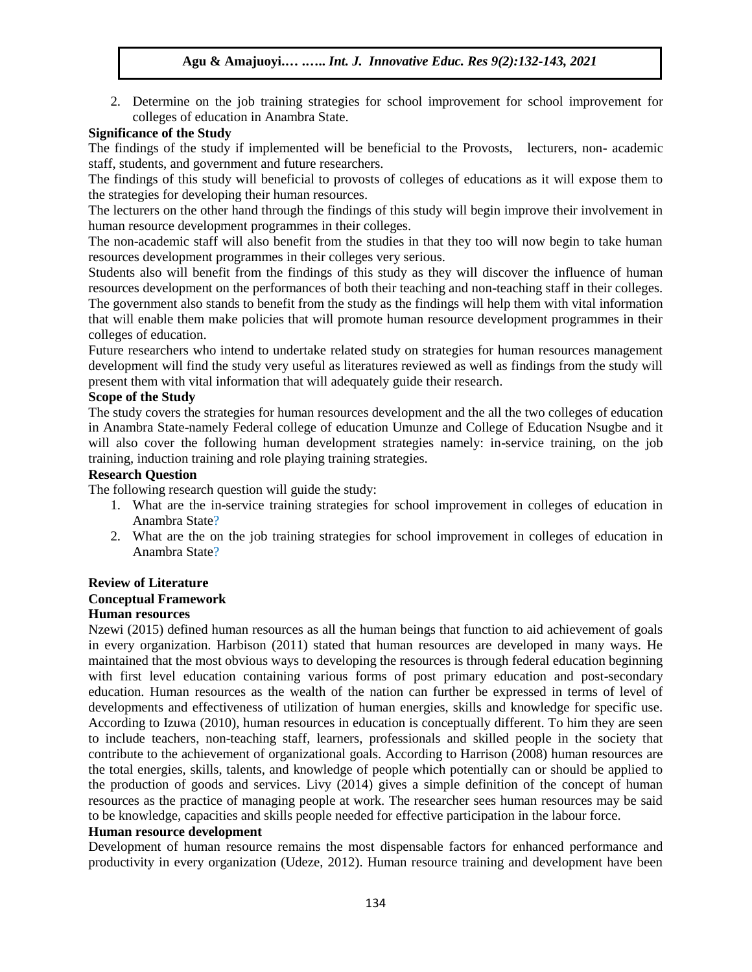2. Determine on the job training strategies for school improvement for school improvement for colleges of education in Anambra State.

# **Significance of the Study**

The findings of the study if implemented will be beneficial to the Provosts, lecturers, non- academic staff, students, and government and future researchers.

The findings of this study will beneficial to provosts of colleges of educations as it will expose them to the strategies for developing their human resources.

The lecturers on the other hand through the findings of this study will begin improve their involvement in human resource development programmes in their colleges.

The non-academic staff will also benefit from the studies in that they too will now begin to take human resources development programmes in their colleges very serious.

Students also will benefit from the findings of this study as they will discover the influence of human resources development on the performances of both their teaching and non-teaching staff in their colleges. The government also stands to benefit from the study as the findings will help them with vital information that will enable them make policies that will promote human resource development programmes in their colleges of education.

Future researchers who intend to undertake related study on strategies for human resources management development will find the study very useful as literatures reviewed as well as findings from the study will present them with vital information that will adequately guide their research.

# **Scope of the Study**

The study covers the strategies for human resources development and the all the two colleges of education in Anambra State-namely Federal college of education Umunze and College of Education Nsugbe and it will also cover the following human development strategies namely: in-service training, on the job training, induction training and role playing training strategies.

#### **Research Question**

The following research question will guide the study:

- 1. What are the in-service training strategies for school improvement in colleges of education in Anambra State?
- 2. What are the on the job training strategies for school improvement in colleges of education in Anambra State?

## **Review of Literature Conceptual Framework Human resources**

Nzewi (2015) defined human resources as all the human beings that function to aid achievement of goals in every organization. Harbison (2011) stated that human resources are developed in many ways. He maintained that the most obvious ways to developing the resources is through federal education beginning with first level education containing various forms of post primary education and post-secondary education. Human resources as the wealth of the nation can further be expressed in terms of level of developments and effectiveness of utilization of human energies, skills and knowledge for specific use. According to Izuwa (2010), human resources in education is conceptually different. To him they are seen to include teachers, non-teaching staff, learners, professionals and skilled people in the society that contribute to the achievement of organizational goals. According to Harrison (2008) human resources are the total energies, skills, talents, and knowledge of people which potentially can or should be applied to the production of goods and services. Livy (2014) gives a simple definition of the concept of human resources as the practice of managing people at work. The researcher sees human resources may be said to be knowledge, capacities and skills people needed for effective participation in the labour force.

#### **Human resource development**

Development of human resource remains the most dispensable factors for enhanced performance and productivity in every organization (Udeze, 2012). Human resource training and development have been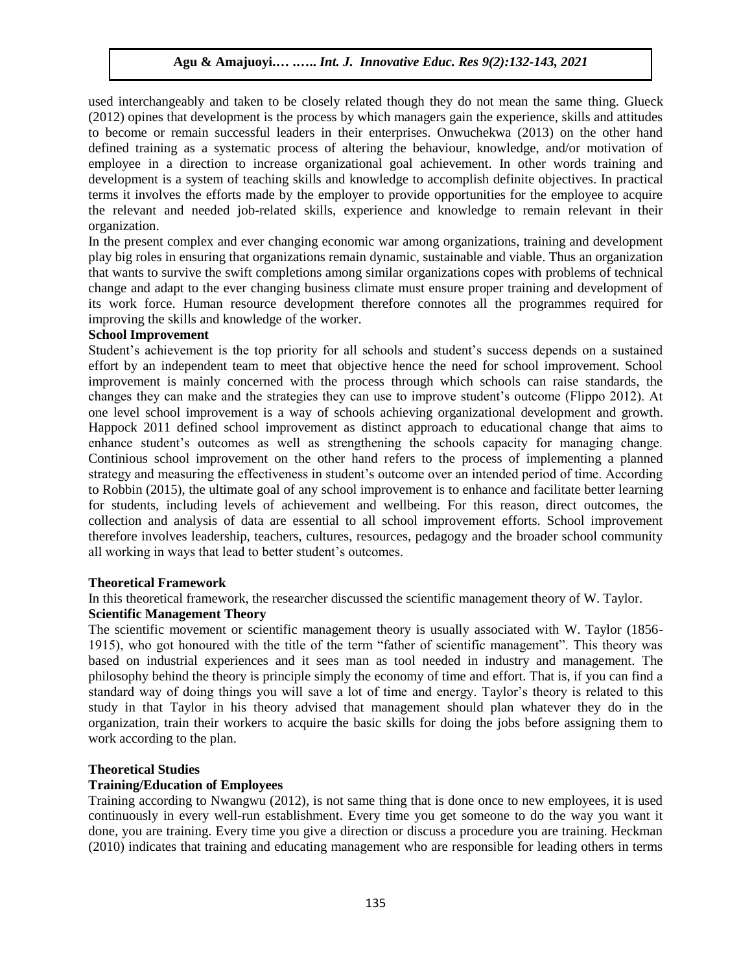used interchangeably and taken to be closely related though they do not mean the same thing. Glueck (2012) opines that development is the process by which managers gain the experience, skills and attitudes to become or remain successful leaders in their enterprises. Onwuchekwa (2013) on the other hand defined training as a systematic process of altering the behaviour, knowledge, and/or motivation of employee in a direction to increase organizational goal achievement. In other words training and development is a system of teaching skills and knowledge to accomplish definite objectives. In practical terms it involves the efforts made by the employer to provide opportunities for the employee to acquire the relevant and needed job-related skills, experience and knowledge to remain relevant in their organization.

In the present complex and ever changing economic war among organizations, training and development play big roles in ensuring that organizations remain dynamic, sustainable and viable. Thus an organization that wants to survive the swift completions among similar organizations copes with problems of technical change and adapt to the ever changing business climate must ensure proper training and development of its work force. Human resource development therefore connotes all the programmes required for improving the skills and knowledge of the worker.

#### **School Improvement**

Student's achievement is the top priority for all schools and student's success depends on a sustained effort by an independent team to meet that objective hence the need for school improvement. School improvement is mainly concerned with the process through which schools can raise standards, the changes they can make and the strategies they can use to improve student's outcome (Flippo 2012). At one level school improvement is a way of schools achieving organizational development and growth. Happock 2011 defined school improvement as distinct approach to educational change that aims to enhance student's outcomes as well as strengthening the schools capacity for managing change. Continious school improvement on the other hand refers to the process of implementing a planned strategy and measuring the effectiveness in student's outcome over an intended period of time. According to Robbin (2015), the ultimate goal of any school improvement is to enhance and facilitate better learning for students, including levels of achievement and wellbeing. For this reason, direct outcomes, the collection and analysis of data are essential to all school improvement efforts. School improvement therefore involves leadership, teachers, cultures, resources, pedagogy and the broader school community all working in ways that lead to better student's outcomes.

#### **Theoretical Framework**

In this theoretical framework, the researcher discussed the scientific management theory of W. Taylor.

# **Scientific Management Theory**

The scientific movement or scientific management theory is usually associated with W. Taylor (1856- 1915), who got honoured with the title of the term "father of scientific management". This theory was based on industrial experiences and it sees man as tool needed in industry and management. The philosophy behind the theory is principle simply the economy of time and effort. That is, if you can find a standard way of doing things you will save a lot of time and energy. Taylor's theory is related to this study in that Taylor in his theory advised that management should plan whatever they do in the organization, train their workers to acquire the basic skills for doing the jobs before assigning them to work according to the plan.

# **Theoretical Studies**

#### **Training/Education of Employees**

Training according to Nwangwu (2012), is not same thing that is done once to new employees, it is used continuously in every well-run establishment. Every time you get someone to do the way you want it done, you are training. Every time you give a direction or discuss a procedure you are training. Heckman (2010) indicates that training and educating management who are responsible for leading others in terms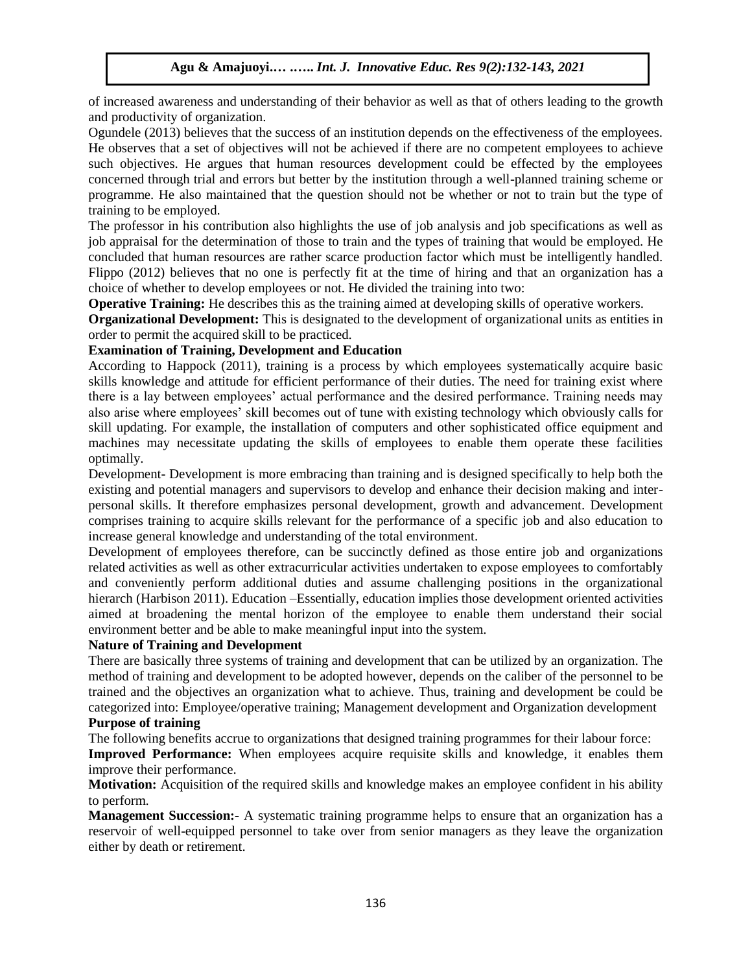of increased awareness and understanding of their behavior as well as that of others leading to the growth and productivity of organization.

Ogundele (2013) believes that the success of an institution depends on the effectiveness of the employees. He observes that a set of objectives will not be achieved if there are no competent employees to achieve such objectives. He argues that human resources development could be effected by the employees concerned through trial and errors but better by the institution through a well-planned training scheme or programme. He also maintained that the question should not be whether or not to train but the type of training to be employed.

The professor in his contribution also highlights the use of job analysis and job specifications as well as job appraisal for the determination of those to train and the types of training that would be employed. He concluded that human resources are rather scarce production factor which must be intelligently handled. Flippo (2012) believes that no one is perfectly fit at the time of hiring and that an organization has a choice of whether to develop employees or not. He divided the training into two:

**Operative Training:** He describes this as the training aimed at developing skills of operative workers.

**Organizational Development:** This is designated to the development of organizational units as entities in order to permit the acquired skill to be practiced.

# **Examination of Training, Development and Education**

According to Happock (2011), training is a process by which employees systematically acquire basic skills knowledge and attitude for efficient performance of their duties. The need for training exist where there is a lay between employees' actual performance and the desired performance. Training needs may also arise where employees' skill becomes out of tune with existing technology which obviously calls for skill updating. For example, the installation of computers and other sophisticated office equipment and machines may necessitate updating the skills of employees to enable them operate these facilities optimally.

Development- Development is more embracing than training and is designed specifically to help both the existing and potential managers and supervisors to develop and enhance their decision making and interpersonal skills. It therefore emphasizes personal development, growth and advancement. Development comprises training to acquire skills relevant for the performance of a specific job and also education to increase general knowledge and understanding of the total environment.

Development of employees therefore, can be succinctly defined as those entire job and organizations related activities as well as other extracurricular activities undertaken to expose employees to comfortably and conveniently perform additional duties and assume challenging positions in the organizational hierarch (Harbison 2011). Education –Essentially, education implies those development oriented activities aimed at broadening the mental horizon of the employee to enable them understand their social environment better and be able to make meaningful input into the system.

# **Nature of Training and Development**

There are basically three systems of training and development that can be utilized by an organization. The method of training and development to be adopted however, depends on the caliber of the personnel to be trained and the objectives an organization what to achieve. Thus, training and development be could be categorized into: Employee/operative training; Management development and Organization development

# **Purpose of training**

The following benefits accrue to organizations that designed training programmes for their labour force:

**Improved Performance:** When employees acquire requisite skills and knowledge, it enables them improve their performance.

**Motivation:** Acquisition of the required skills and knowledge makes an employee confident in his ability to perform.

**Management Succession:-** A systematic training programme helps to ensure that an organization has a reservoir of well-equipped personnel to take over from senior managers as they leave the organization either by death or retirement.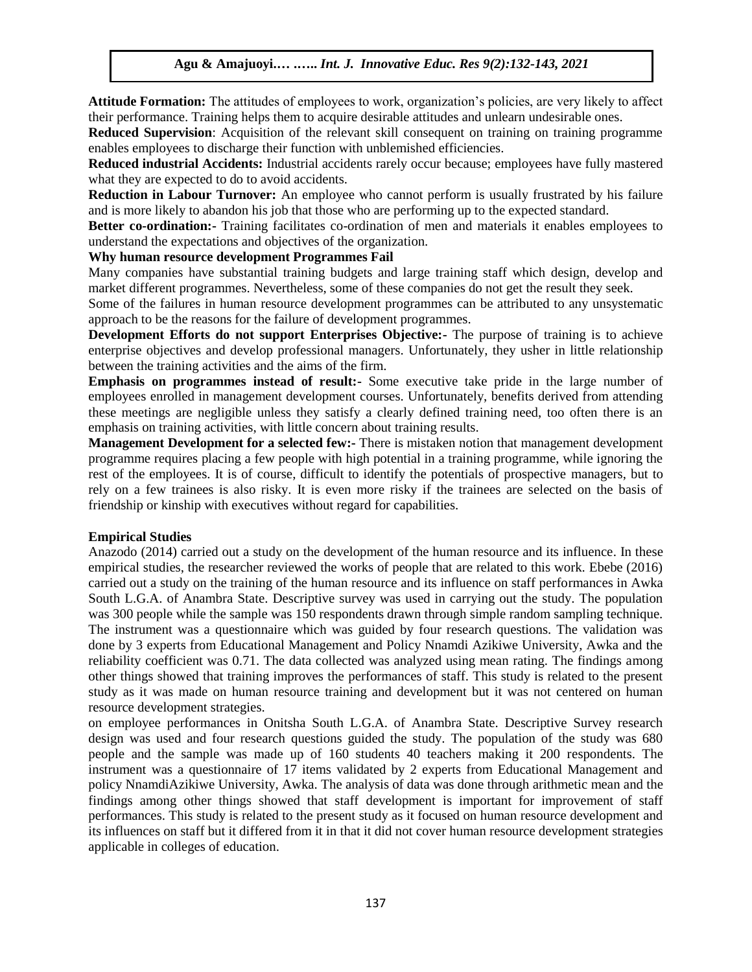**Attitude Formation:** The attitudes of employees to work, organization's policies, are very likely to affect their performance. Training helps them to acquire desirable attitudes and unlearn undesirable ones.

**Reduced Supervision**: Acquisition of the relevant skill consequent on training on training programme enables employees to discharge their function with unblemished efficiencies.

**Reduced industrial Accidents:** Industrial accidents rarely occur because; employees have fully mastered what they are expected to do to avoid accidents.

**Reduction in Labour Turnover:** An employee who cannot perform is usually frustrated by his failure and is more likely to abandon his job that those who are performing up to the expected standard.

**Better co-ordination:-** Training facilitates co-ordination of men and materials it enables employees to understand the expectations and objectives of the organization.

## **Why human resource development Programmes Fail**

Many companies have substantial training budgets and large training staff which design, develop and market different programmes. Nevertheless, some of these companies do not get the result they seek.

Some of the failures in human resource development programmes can be attributed to any unsystematic approach to be the reasons for the failure of development programmes.

**Development Efforts do not support Enterprises Objective:-** The purpose of training is to achieve enterprise objectives and develop professional managers. Unfortunately, they usher in little relationship between the training activities and the aims of the firm.

**Emphasis on programmes instead of result:-** Some executive take pride in the large number of employees enrolled in management development courses. Unfortunately, benefits derived from attending these meetings are negligible unless they satisfy a clearly defined training need, too often there is an emphasis on training activities, with little concern about training results.

**Management Development for a selected few:-** There is mistaken notion that management development programme requires placing a few people with high potential in a training programme, while ignoring the rest of the employees. It is of course, difficult to identify the potentials of prospective managers, but to rely on a few trainees is also risky. It is even more risky if the trainees are selected on the basis of friendship or kinship with executives without regard for capabilities.

#### **Empirical Studies**

Anazodo (2014) carried out a study on the development of the human resource and its influence. In these empirical studies, the researcher reviewed the works of people that are related to this work. Ebebe (2016) carried out a study on the training of the human resource and its influence on staff performances in Awka South L.G.A. of Anambra State. Descriptive survey was used in carrying out the study. The population was 300 people while the sample was 150 respondents drawn through simple random sampling technique. The instrument was a questionnaire which was guided by four research questions. The validation was done by 3 experts from Educational Management and Policy Nnamdi Azikiwe University, Awka and the reliability coefficient was 0.71. The data collected was analyzed using mean rating. The findings among other things showed that training improves the performances of staff. This study is related to the present study as it was made on human resource training and development but it was not centered on human resource development strategies.

on employee performances in Onitsha South L.G.A. of Anambra State. Descriptive Survey research design was used and four research questions guided the study. The population of the study was 680 people and the sample was made up of 160 students 40 teachers making it 200 respondents. The instrument was a questionnaire of 17 items validated by 2 experts from Educational Management and policy NnamdiAzikiwe University, Awka. The analysis of data was done through arithmetic mean and the findings among other things showed that staff development is important for improvement of staff performances. This study is related to the present study as it focused on human resource development and its influences on staff but it differed from it in that it did not cover human resource development strategies applicable in colleges of education.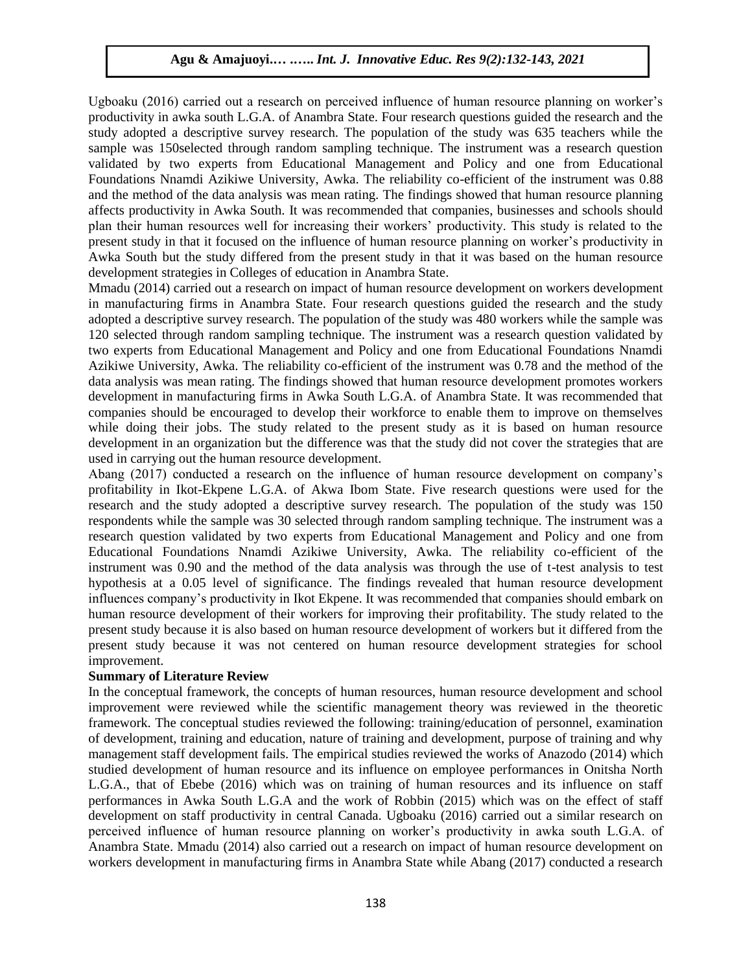Ugboaku (2016) carried out a research on perceived influence of human resource planning on worker's productivity in awka south L.G.A. of Anambra State. Four research questions guided the research and the study adopted a descriptive survey research. The population of the study was 635 teachers while the sample was 150selected through random sampling technique. The instrument was a research question validated by two experts from Educational Management and Policy and one from Educational Foundations Nnamdi Azikiwe University, Awka. The reliability co-efficient of the instrument was 0.88 and the method of the data analysis was mean rating. The findings showed that human resource planning affects productivity in Awka South. It was recommended that companies, businesses and schools should plan their human resources well for increasing their workers' productivity. This study is related to the present study in that it focused on the influence of human resource planning on worker's productivity in Awka South but the study differed from the present study in that it was based on the human resource development strategies in Colleges of education in Anambra State.

Mmadu (2014) carried out a research on impact of human resource development on workers development in manufacturing firms in Anambra State. Four research questions guided the research and the study adopted a descriptive survey research. The population of the study was 480 workers while the sample was 120 selected through random sampling technique. The instrument was a research question validated by two experts from Educational Management and Policy and one from Educational Foundations Nnamdi Azikiwe University, Awka. The reliability co-efficient of the instrument was 0.78 and the method of the data analysis was mean rating. The findings showed that human resource development promotes workers development in manufacturing firms in Awka South L.G.A. of Anambra State. It was recommended that companies should be encouraged to develop their workforce to enable them to improve on themselves while doing their jobs. The study related to the present study as it is based on human resource development in an organization but the difference was that the study did not cover the strategies that are used in carrying out the human resource development.

Abang (2017) conducted a research on the influence of human resource development on company's profitability in Ikot-Ekpene L.G.A. of Akwa Ibom State. Five research questions were used for the research and the study adopted a descriptive survey research. The population of the study was 150 respondents while the sample was 30 selected through random sampling technique. The instrument was a research question validated by two experts from Educational Management and Policy and one from Educational Foundations Nnamdi Azikiwe University, Awka. The reliability co-efficient of the instrument was 0.90 and the method of the data analysis was through the use of t-test analysis to test hypothesis at a 0.05 level of significance. The findings revealed that human resource development influences company's productivity in Ikot Ekpene. It was recommended that companies should embark on human resource development of their workers for improving their profitability. The study related to the present study because it is also based on human resource development of workers but it differed from the present study because it was not centered on human resource development strategies for school improvement.

## **Summary of Literature Review**

In the conceptual framework, the concepts of human resources, human resource development and school improvement were reviewed while the scientific management theory was reviewed in the theoretic framework. The conceptual studies reviewed the following: training/education of personnel, examination of development, training and education, nature of training and development, purpose of training and why management staff development fails. The empirical studies reviewed the works of Anazodo (2014) which studied development of human resource and its influence on employee performances in Onitsha North L.G.A., that of Ebebe (2016) which was on training of human resources and its influence on staff performances in Awka South L.G.A and the work of Robbin (2015) which was on the effect of staff development on staff productivity in central Canada. Ugboaku (2016) carried out a similar research on perceived influence of human resource planning on worker's productivity in awka south L.G.A. of Anambra State. Mmadu (2014) also carried out a research on impact of human resource development on workers development in manufacturing firms in Anambra State while Abang (2017) conducted a research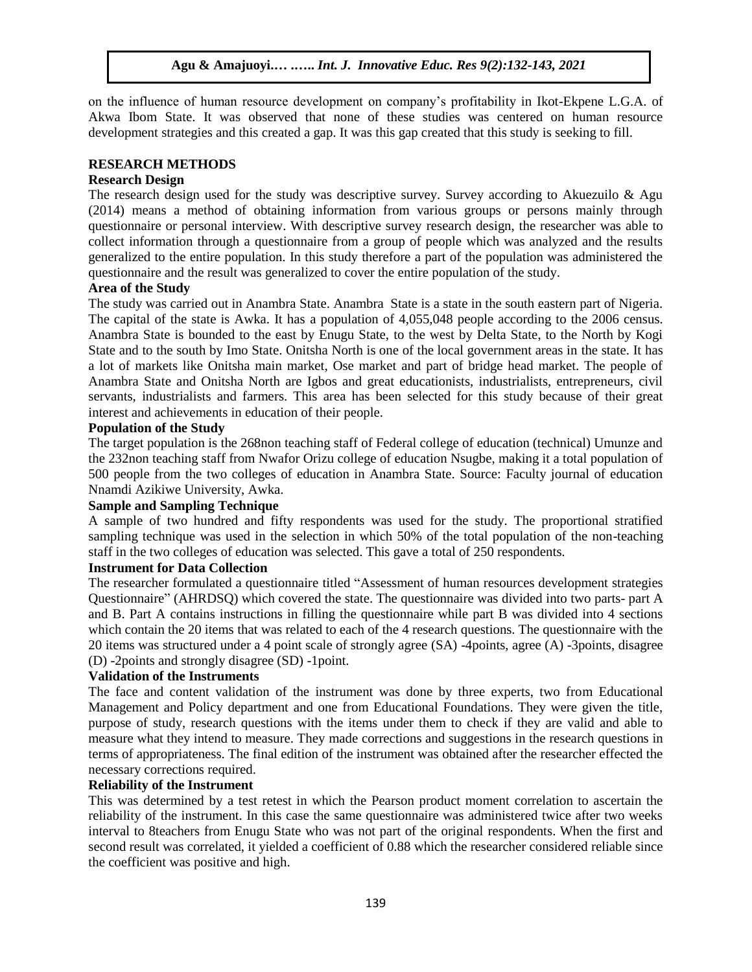on the influence of human resource development on company's profitability in Ikot-Ekpene L.G.A. of Akwa Ibom State. It was observed that none of these studies was centered on human resource development strategies and this created a gap. It was this gap created that this study is seeking to fill.

## **RESEARCH METHODS**

## **Research Design**

The research design used for the study was descriptive survey. Survey according to Akuezuilo  $\&$  Agu (2014) means a method of obtaining information from various groups or persons mainly through questionnaire or personal interview. With descriptive survey research design, the researcher was able to collect information through a questionnaire from a group of people which was analyzed and the results generalized to the entire population. In this study therefore a part of the population was administered the questionnaire and the result was generalized to cover the entire population of the study.

## **Area of the Study**

The study was carried out in Anambra State. Anambra State is a state in the south eastern part of Nigeria. The capital of the state is Awka. It has a population of 4,055,048 people according to the 2006 census. Anambra State is bounded to the east by Enugu State, to the west by Delta State, to the North by Kogi State and to the south by Imo State. Onitsha North is one of the local government areas in the state. It has a lot of markets like Onitsha main market, Ose market and part of bridge head market. The people of Anambra State and Onitsha North are Igbos and great educationists, industrialists, entrepreneurs, civil servants, industrialists and farmers. This area has been selected for this study because of their great interest and achievements in education of their people.

## **Population of the Study**

The target population is the 268non teaching staff of Federal college of education (technical) Umunze and the 232non teaching staff from Nwafor Orizu college of education Nsugbe, making it a total population of 500 people from the two colleges of education in Anambra State. Source: Faculty journal of education Nnamdi Azikiwe University, Awka.

## **Sample and Sampling Technique**

A sample of two hundred and fifty respondents was used for the study. The proportional stratified sampling technique was used in the selection in which 50% of the total population of the non-teaching staff in the two colleges of education was selected. This gave a total of 250 respondents.

## **Instrument for Data Collection**

The researcher formulated a questionnaire titled "Assessment of human resources development strategies Questionnaire" (AHRDSQ) which covered the state. The questionnaire was divided into two parts- part A and B. Part A contains instructions in filling the questionnaire while part B was divided into 4 sections which contain the 20 items that was related to each of the 4 research questions. The questionnaire with the 20 items was structured under a 4 point scale of strongly agree (SA) -4points, agree (A) -3points, disagree (D) -2points and strongly disagree (SD) -1point.

#### **Validation of the Instruments**

The face and content validation of the instrument was done by three experts, two from Educational Management and Policy department and one from Educational Foundations. They were given the title, purpose of study, research questions with the items under them to check if they are valid and able to measure what they intend to measure. They made corrections and suggestions in the research questions in terms of appropriateness. The final edition of the instrument was obtained after the researcher effected the necessary corrections required.

# **Reliability of the Instrument**

This was determined by a test retest in which the Pearson product moment correlation to ascertain the reliability of the instrument. In this case the same questionnaire was administered twice after two weeks interval to 8teachers from Enugu State who was not part of the original respondents. When the first and second result was correlated, it yielded a coefficient of 0.88 which the researcher considered reliable since the coefficient was positive and high.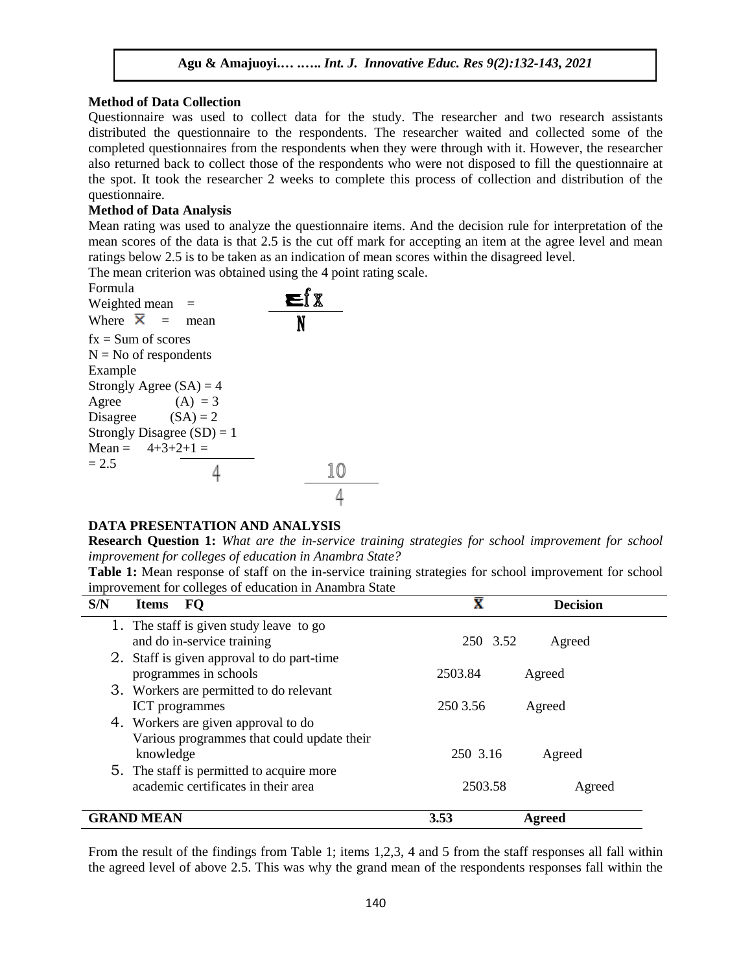## **Method of Data Collection**

Questionnaire was used to collect data for the study. The researcher and two research assistants distributed the questionnaire to the respondents. The researcher waited and collected some of the completed questionnaires from the respondents when they were through with it. However, the researcher also returned back to collect those of the respondents who were not disposed to fill the questionnaire at the spot. It took the researcher 2 weeks to complete this process of collection and distribution of the questionnaire.

## **Method of Data Analysis**

Mean rating was used to analyze the questionnaire items. And the decision rule for interpretation of the mean scores of the data is that 2.5 is the cut off mark for accepting an item at the agree level and mean ratings below 2.5 is to be taken as an indication of mean scores within the disagreed level.

The mean criterion was obtained using the 4 point rating scale.

| <b>Formula</b>               |  |  |
|------------------------------|--|--|
| Weighted mean $=$            |  |  |
| Where $\overline{X}$ = mean  |  |  |
| $fx = Sum of scores$         |  |  |
| $N = No$ of respondents      |  |  |
| Example                      |  |  |
| Strongly Agree $(SA) = 4$    |  |  |
| $(A) = 3$<br>Agree           |  |  |
| Disagree $(SA) = 2$          |  |  |
| Strongly Disagree $(SD) = 1$ |  |  |
| Mean = $4+3+2+1$ =           |  |  |
| $= 2.5$                      |  |  |
|                              |  |  |

# **DATA PRESENTATION AND ANALYSIS**

**Research Question 1:** *What are the in-service training strategies for school improvement for school improvement for colleges of education in Anambra State?*

**Table 1:** Mean response of staff on the in-service training strategies for school improvement for school improvement for colleges of education in Anambra State

| S/N | FQ<br><b>Items</b>                         | $\mathbf{\bar{x}}$ | <b>Decision</b> |
|-----|--------------------------------------------|--------------------|-----------------|
|     | 1. The staff is given study leave to go    |                    |                 |
|     | and do in-service training                 | 250 3.52           | Agreed          |
|     | 2. Staff is given approval to do part-time |                    |                 |
|     | programmes in schools                      | 2503.84            | Agreed          |
|     | 3. Workers are permitted to do relevant    |                    |                 |
|     | <b>ICT</b> programmes                      | 250 3.56           | Agreed          |
|     | 4. Workers are given approval to do        |                    |                 |
|     | Various programmes that could update their |                    |                 |
|     | knowledge                                  | 250 3.16           | Agreed          |
|     | 5. The staff is permitted to acquire more  |                    |                 |
|     | academic certificates in their area        | 2503.58            | Agreed          |
|     | <b>GRAND MEAN</b>                          | 3.53               | Agreed          |
|     |                                            |                    |                 |

From the result of the findings from Table 1; items 1,2,3, 4 and 5 from the staff responses all fall within the agreed level of above 2.5. This was why the grand mean of the respondents responses fall within the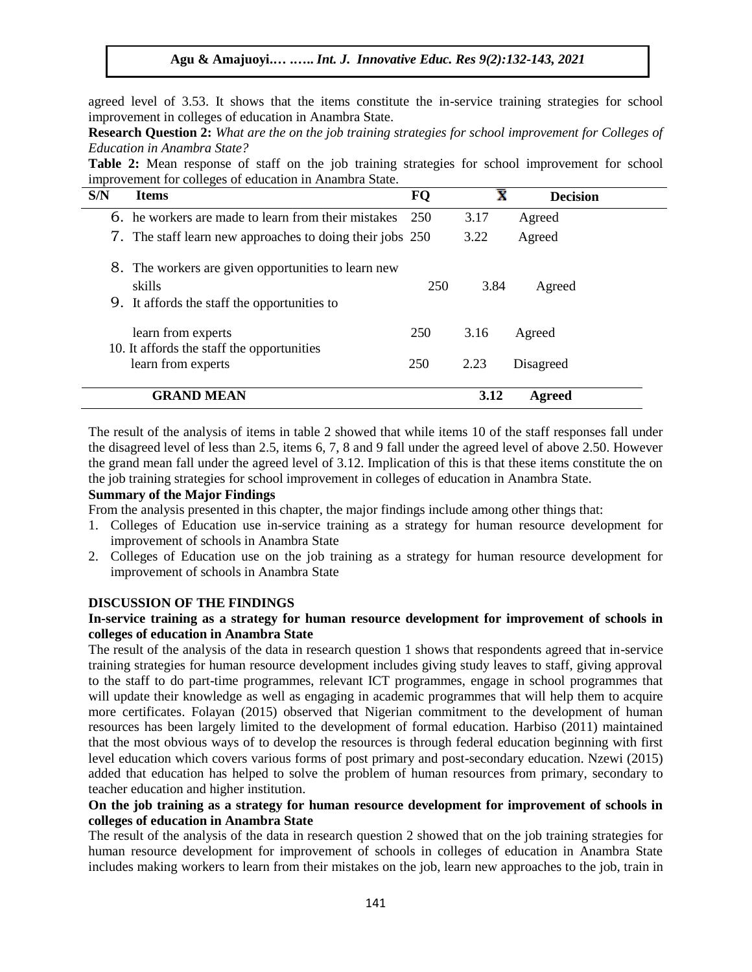agreed level of 3.53. It shows that the items constitute the in-service training strategies for school improvement in colleges of education in Anambra State.

**Research Question 2:** *What are the on the job training strategies for school improvement for Colleges of Education in Anambra State?*

**Table 2:** Mean response of staff on the job training strategies for school improvement for school improvement for colleges of education in Anambra State.

| S/N | <b>Items</b>                                                                                               | FQ  | $\bar{\textbf{x}}$ | <b>Decision</b> |
|-----|------------------------------------------------------------------------------------------------------------|-----|--------------------|-----------------|
|     | 6. he workers are made to learn from their mistakes                                                        | 250 | 3.17               | Agreed          |
|     | 7. The staff learn new approaches to doing their jobs 250                                                  |     | 3.22               | Agreed          |
| 8.  | The workers are given opportunities to learn new<br>skills<br>9. It affords the staff the opportunities to | 250 | 3.84               | Agreed          |
|     | learn from experts                                                                                         | 250 | 3.16               | Agreed          |
|     | 10. It affords the staff the opportunities<br>learn from experts                                           | 250 | 2.23               | Disagreed       |
|     | <b>GRAND MEAN</b>                                                                                          |     | 3.12               | Agreed          |

The result of the analysis of items in table 2 showed that while items 10 of the staff responses fall under the disagreed level of less than 2.5, items 6, 7, 8 and 9 fall under the agreed level of above 2.50. However the grand mean fall under the agreed level of 3.12. Implication of this is that these items constitute the on the job training strategies for school improvement in colleges of education in Anambra State.

## **Summary of the Major Findings**

From the analysis presented in this chapter, the major findings include among other things that:

- 1. Colleges of Education use in-service training as a strategy for human resource development for improvement of schools in Anambra State
- 2. Colleges of Education use on the job training as a strategy for human resource development for improvement of schools in Anambra State

#### **DISCUSSION OF THE FINDINGS**

## **In-service training as a strategy for human resource development for improvement of schools in colleges of education in Anambra State**

The result of the analysis of the data in research question 1 shows that respondents agreed that in-service training strategies for human resource development includes giving study leaves to staff, giving approval to the staff to do part-time programmes, relevant ICT programmes, engage in school programmes that will update their knowledge as well as engaging in academic programmes that will help them to acquire more certificates. Folayan (2015) observed that Nigerian commitment to the development of human resources has been largely limited to the development of formal education. Harbiso (2011) maintained that the most obvious ways of to develop the resources is through federal education beginning with first level education which covers various forms of post primary and post-secondary education. Nzewi (2015) added that education has helped to solve the problem of human resources from primary, secondary to teacher education and higher institution.

# **On the job training as a strategy for human resource development for improvement of schools in colleges of education in Anambra State**

The result of the analysis of the data in research question 2 showed that on the job training strategies for human resource development for improvement of schools in colleges of education in Anambra State includes making workers to learn from their mistakes on the job, learn new approaches to the job, train in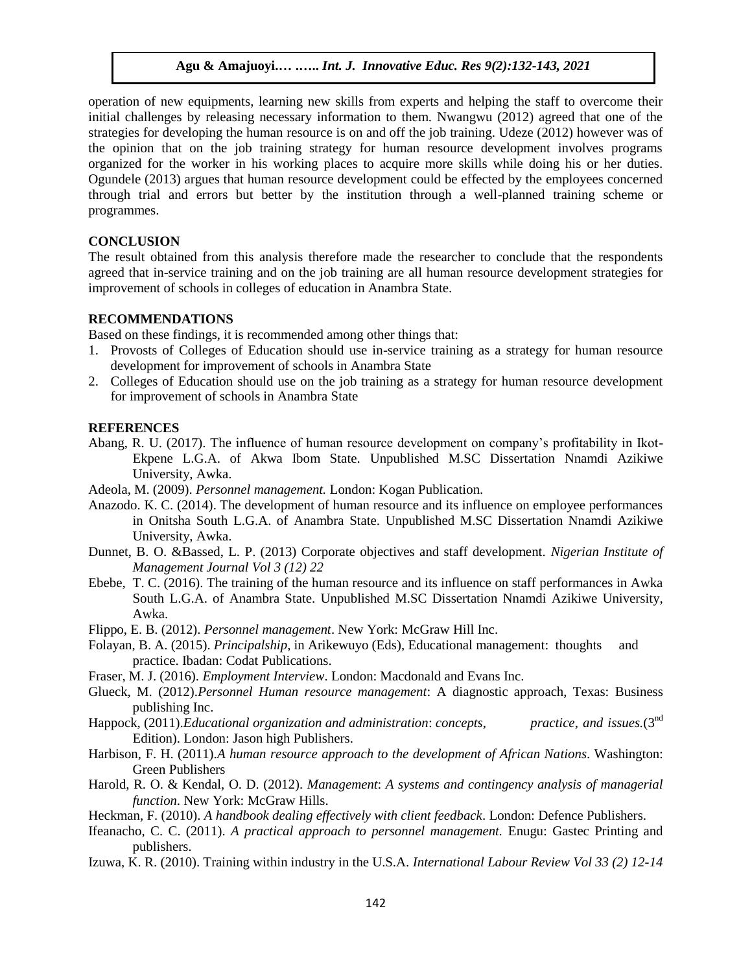operation of new equipments, learning new skills from experts and helping the staff to overcome their initial challenges by releasing necessary information to them. Nwangwu (2012) agreed that one of the strategies for developing the human resource is on and off the job training. Udeze (2012) however was of the opinion that on the job training strategy for human resource development involves programs organized for the worker in his working places to acquire more skills while doing his or her duties. Ogundele (2013) argues that human resource development could be effected by the employees concerned through trial and errors but better by the institution through a well-planned training scheme or programmes.

#### **CONCLUSION**

The result obtained from this analysis therefore made the researcher to conclude that the respondents agreed that in-service training and on the job training are all human resource development strategies for improvement of schools in colleges of education in Anambra State.

## **RECOMMENDATIONS**

Based on these findings, it is recommended among other things that:

- 1. Provosts of Colleges of Education should use in-service training as a strategy for human resource development for improvement of schools in Anambra State
- 2. Colleges of Education should use on the job training as a strategy for human resource development for improvement of schools in Anambra State

#### **REFERENCES**

- Abang, R. U. (2017). The influence of human resource development on company's profitability in Ikot-Ekpene L.G.A. of Akwa Ibom State. Unpublished M.SC Dissertation Nnamdi Azikiwe University, Awka.
- Adeola, M. (2009). *Personnel management.* London: Kogan Publication.
- Anazodo. K. C. (2014). The development of human resource and its influence on employee performances in Onitsha South L.G.A. of Anambra State. Unpublished M.SC Dissertation Nnamdi Azikiwe University, Awka.
- Dunnet, B. O. &Bassed, L. P. (2013) Corporate objectives and staff development. *Nigerian Institute of Management Journal Vol 3 (12) 22*
- Ebebe, T. C. (2016). The training of the human resource and its influence on staff performances in Awka South L.G.A. of Anambra State. Unpublished M.SC Dissertation Nnamdi Azikiwe University, Awka.
- Flippo, E. B. (2012). *Personnel management*. New York: McGraw Hill Inc.
- Folayan, B. A. (2015). *Principalship*, in Arikewuyo (Eds), Educational management: thoughts and practice. Ibadan: Codat Publications.
- Fraser, M. J. (2016). *Employment Interview*. London: Macdonald and Evans Inc.
- Glueck, M. (2012).*Personnel Human resource management*: A diagnostic approach, Texas: Business publishing Inc.
- Happock, (2011).*Educational organization and administration*: *concepts*, *practice*, *and issues.*(3nd Edition). London: Jason high Publishers.
- Harbison, F. H. (2011).*A human resource approach to the development of African Nations*. Washington: Green Publishers
- Harold, R. O. & Kendal, O. D. (2012). *Management*: *A systems and contingency analysis of managerial function*. New York: McGraw Hills.
- Heckman, F. (2010). *A handbook dealing effectively with client feedback*. London: Defence Publishers.
- Ifeanacho, C. C. (2011). *A practical approach to personnel management.* Enugu: Gastec Printing and publishers.
- Izuwa, K. R. (2010). Training within industry in the U.S.A. *International Labour Review Vol 33 (2) 12-14*